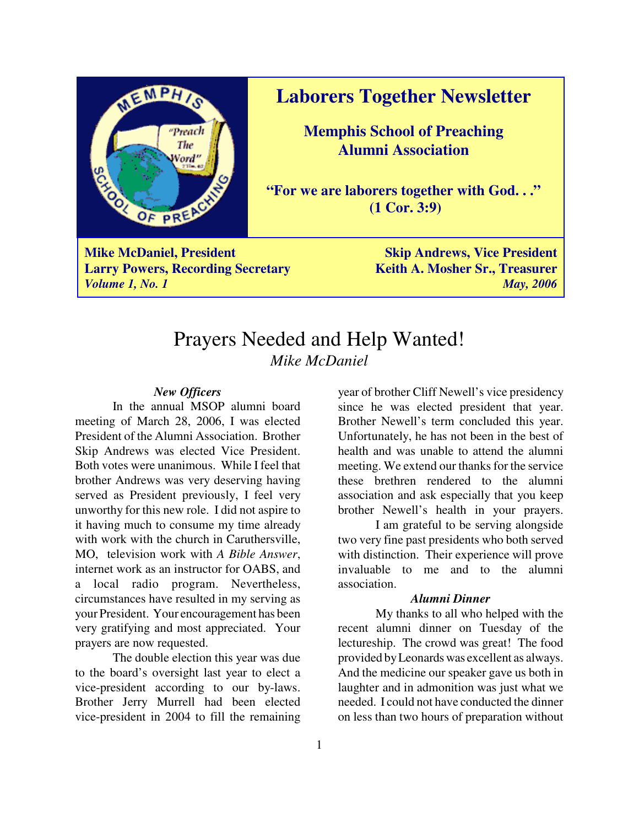

**Mike McDaniel, President Skip Andrews, Vice President Skip Andrews, Skip Andrews Larry Powers, Recording Secretary Keith A. Mosher Sr., Treasurer** *Volume 1, No. 1 May, 2006*

## **Laborers Together Newsletter**

**Memphis School of Preaching Alumni Association**

**"For we are laborers together with God. . ." (1 Cor. 3:9)**

# Prayers Needed and Help Wanted! *Mike McDaniel*

#### *New Officers*

In the annual MSOP alumni board meeting of March 28, 2006, I was elected President of the Alumni Association. Brother Skip Andrews was elected Vice President. Both votes were unanimous. While I feel that brother Andrews was very deserving having served as President previously, I feel very unworthy for this new role. I did not aspire to it having much to consume my time already with work with the church in Caruthersville, MO, television work with *A Bible Answer*, internet work as an instructor for OABS, and a local radio program. Nevertheless, circumstances have resulted in my serving as your President. Your encouragement has been very gratifying and most appreciated. Your prayers are now requested.

The double election this year was due to the board's oversight last year to elect a vice-president according to our by-laws. Brother Jerry Murrell had been elected vice-president in 2004 to fill the remaining

year of brother Cliff Newell's vice presidency since he was elected president that year. Brother Newell's term concluded this year. Unfortunately, he has not been in the best of health and was unable to attend the alumni meeting. We extend our thanks for the service these brethren rendered to the alumni association and ask especially that you keep brother Newell's health in your prayers.

I am grateful to be serving alongside two very fine past presidents who both served with distinction. Their experience will prove invaluable to me and to the alumni association.

## *Alumni Dinner*

My thanks to all who helped with the recent alumni dinner on Tuesday of the lectureship. The crowd was great! The food provided by Leonards was excellent as always. And the medicine our speaker gave us both in laughter and in admonition was just what we needed. I could not have conducted the dinner on less than two hours of preparation without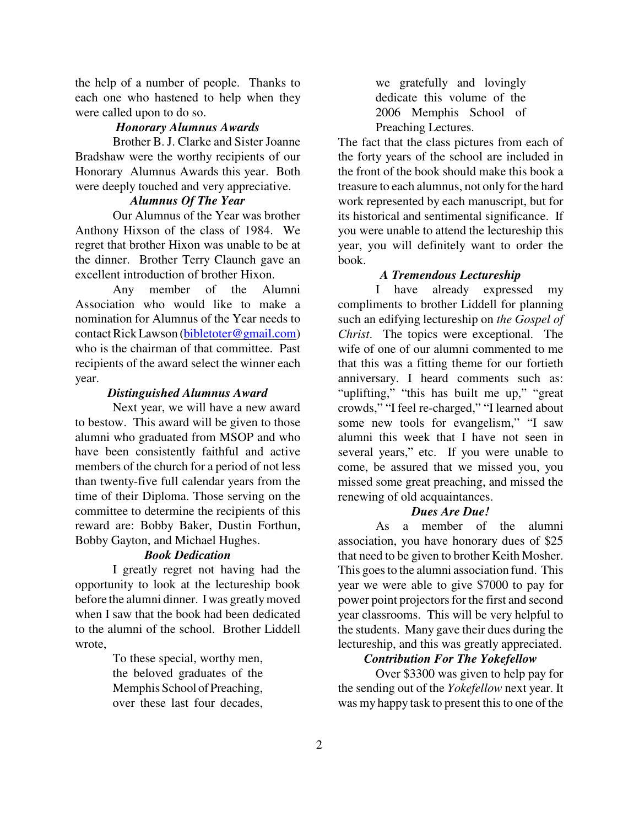the help of a number of people. Thanks to each one who hastened to help when they were called upon to do so.

### *Honorary Alumnus Awards*

Brother B. J. Clarke and Sister Joanne Bradshaw were the worthy recipients of our Honorary Alumnus Awards this year. Both were deeply touched and very appreciative.

## *Alumnus Of The Year*

Our Alumnus of the Year was brother Anthony Hixson of the class of 1984. We regret that brother Hixon was unable to be at the dinner. Brother Terry Claunch gave an excellent introduction of brother Hixon.

Any member of the Alumni Association who would like to make a nomination for Alumnus of the Year needs to contact Rick Lawson (bibletoter@gmail.com) who is the chairman of that committee. Past recipients of the award select the winner each year.

#### *Distinguished Alumnus Award*

Next year, we will have a new award to bestow. This award will be given to those alumni who graduated from MSOP and who have been consistently faithful and active members of the church for a period of not less than twenty-five full calendar years from the time of their Diploma. Those serving on the committee to determine the recipients of this reward are: Bobby Baker, Dustin Forthun, Bobby Gayton, and Michael Hughes.

#### *Book Dedication*

I greatly regret not having had the opportunity to look at the lectureship book before the alumni dinner. I was greatly moved when I saw that the book had been dedicated to the alumni of the school. Brother Liddell wrote,

> To these special, worthy men, the beloved graduates of the Memphis School of Preaching, over these last four decades,

we gratefully and lovingly dedicate this volume of the 2006 Memphis School of Preaching Lectures.

The fact that the class pictures from each of the forty years of the school are included in the front of the book should make this book a treasure to each alumnus, not only for the hard work represented by each manuscript, but for its historical and sentimental significance. If you were unable to attend the lectureship this year, you will definitely want to order the book.

#### *A Tremendous Lectureship*

I have already expressed my compliments to brother Liddell for planning such an edifying lectureship on *the Gospel of Christ*. The topics were exceptional. The wife of one of our alumni commented to me that this was a fitting theme for our fortieth anniversary. I heard comments such as: "uplifting," "this has built me up," "great crowds," "I feel re-charged," "I learned about some new tools for evangelism," "I saw alumni this week that I have not seen in several years," etc. If you were unable to come, be assured that we missed you, you missed some great preaching, and missed the renewing of old acquaintances.

#### *Dues Are Due!*

As a member of the alumni association, you have honorary dues of \$25 that need to be given to brother Keith Mosher. This goes to the alumni association fund. This year we were able to give \$7000 to pay for power point projectors for the first and second year classrooms. This will be very helpful to the students. Many gave their dues during the lectureship, and this was greatly appreciated.

### *Contribution For The Yokefellow*

Over \$3300 was given to help pay for the sending out of the *Yokefellow* next year. It was my happy task to present this to one of the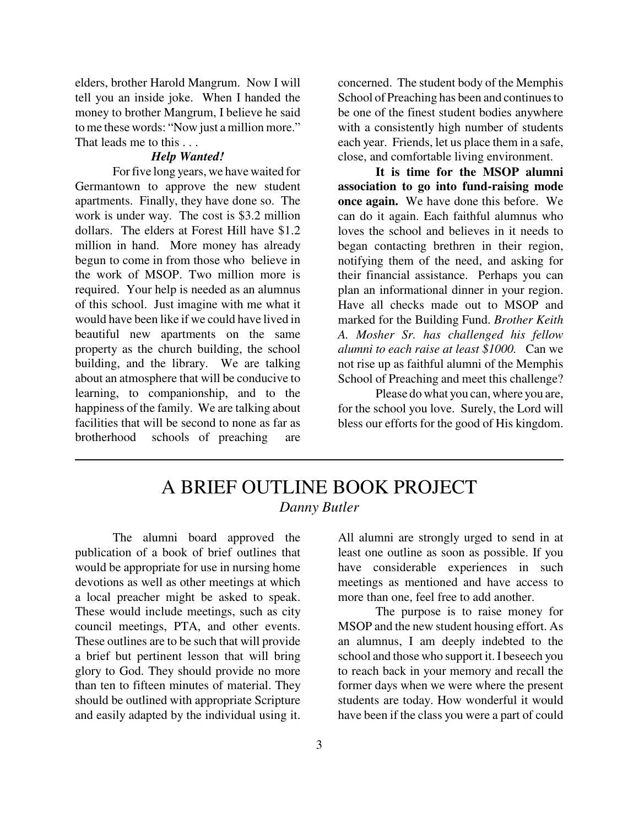elders, brother Harold Mangrum. Now I will tell you an inside joke. When I handed the money to brother Mangrum, I believe he said to me these words: "Now just a million more." That leads me to this . . .

#### *Help Wanted!*

For five long years, we have waited for Germantown to approve the new student apartments. Finally, they have done so. The work is under way. The cost is \$3.2 million dollars. The elders at Forest Hill have \$1.2 million in hand. More money has already begun to come in from those who believe in the work of MSOP. Two million more is required. Your help is needed as an alumnus of this school. Just imagine with me what it would have been like if we could have lived in beautiful new apartments on the same property as the church building, the school building, and the library. We are talking about an atmosphere that will be conducive to learning, to companionship, and to the happiness of the family. We are talking about facilities that will be second to none as far as brotherhood schools of preaching are

concerned. The student body of the Memphis School of Preaching has been and continues to be one of the finest student bodies anywhere with a consistently high number of students each year. Friends, let us place them in a safe, close, and comfortable living environment.

**It is time for the MSOP alumni association to go into fund-raising mode once again.** We have done this before. We can do it again. Each faithful alumnus who loves the school and believes in it needs to began contacting brethren in their region, notifying them of the need, and asking for their financial assistance. Perhaps you can plan an informational dinner in your region. Have all checks made out to MSOP and marked for the Building Fund. *Brother Keith A. Mosher Sr. has challenged his fellow alumni to each raise at least \$1000.* Can we not rise up as faithful alumni of the Memphis School of Preaching and meet this challenge?

Please do what you can, where you are, for the school you love. Surely, the Lord will bless our efforts for the good of His kingdom.

## A BRIEF OUTLINE BOOK PROJECT *Danny Butler*

The alumni board approved the publication of a book of brief outlines that would be appropriate for use in nursing home devotions as well as other meetings at which a local preacher might be asked to speak. These would include meetings, such as city council meetings, PTA, and other events. These outlines are to be such that will provide a brief but pertinent lesson that will bring glory to God. They should provide no more than ten to fifteen minutes of material. They should be outlined with appropriate Scripture and easily adapted by the individual using it.

All alumni are strongly urged to send in at least one outline as soon as possible. If you have considerable experiences in such meetings as mentioned and have access to more than one, feel free to add another.

The purpose is to raise money for MSOP and the new student housing effort. As an alumnus, I am deeply indebted to the school and those who support it. I beseech you to reach back in your memory and recall the former days when we were where the present students are today. How wonderful it would have been if the class you were a part of could